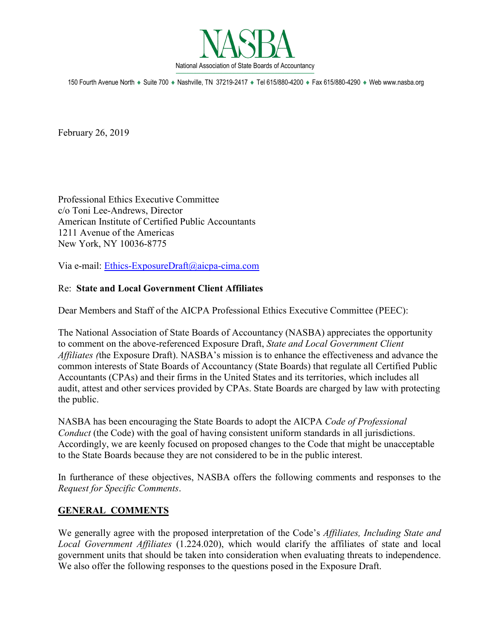

150 Fourth Avenue North ♦ Suite 700 ♦ Nashville, TN 37219-2417 ♦ Tel 615/880-4200 ♦ Fax 615/880-4290 ♦ Web www.nasba.org

February 26, 2019

Professional Ethics Executive Committee c/o Toni Lee-Andrews, Director American Institute of Certified Public Accountants 1211 Avenue of the Americas New York, NY 10036-8775

Via e-mail: [Ethics-ExposureDraft@aicpa-cima.com](mailto:Ethics-ExposureDraft@aicpa-cima.com)

## Re: **State and Local Government Client Affiliates**

Dear Members and Staff of the AICPA Professional Ethics Executive Committee (PEEC):

The National Association of State Boards of Accountancy (NASBA) appreciates the opportunity to comment on the above-referenced Exposure Draft, *State and Local Government Client Affiliates (*the Exposure Draft). NASBA's mission is to enhance the effectiveness and advance the common interests of State Boards of Accountancy (State Boards) that regulate all Certified Public Accountants (CPAs) and their firms in the United States and its territories, which includes all audit, attest and other services provided by CPAs. State Boards are charged by law with protecting the public.

NASBA has been encouraging the State Boards to adopt the AICPA *Code of Professional Conduct* (the Code) with the goal of having consistent uniform standards in all jurisdictions. Accordingly, we are keenly focused on proposed changes to the Code that might be unacceptable to the State Boards because they are not considered to be in the public interest.

In furtherance of these objectives, NASBA offers the following comments and responses to the *Request for Specific Comments*.

## **GENERAL COMMENTS**

We generally agree with the proposed interpretation of the Code's *Affiliates, Including State and Local Government Affiliates* (1.224.020), which would clarify the affiliates of state and local government units that should be taken into consideration when evaluating threats to independence. We also offer the following responses to the questions posed in the Exposure Draft.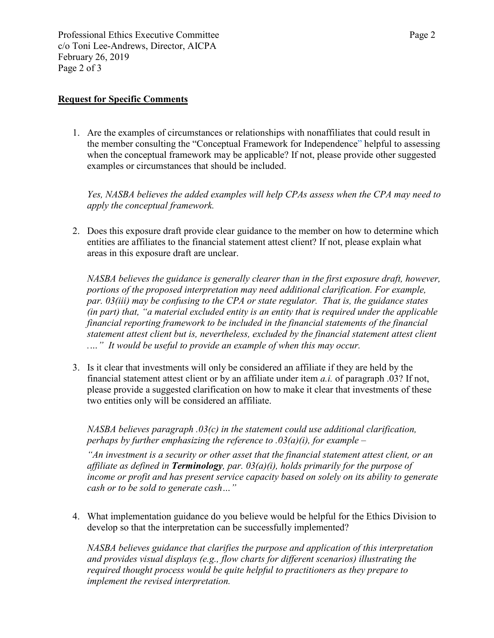Professional Ethics Executive Committee Page 2 c/o Toni Lee-Andrews, Director, AICPA February 26, 2019 Page 2 of 3

## **Request for Specific Comments**

1. Are the examples of circumstances or relationships with nonaffiliates that could result in the member consulting the "Conceptual Framework for Independence" helpful to assessing when the conceptual framework may be applicable? If not, please provide other suggested examples or circumstances that should be included.

*Yes, NASBA believes the added examples will help CPAs assess when the CPA may need to apply the conceptual framework.* 

2. Does this exposure draft provide clear guidance to the member on how to determine which entities are affiliates to the financial statement attest client? If not, please explain what areas in this exposure draft are unclear.

*NASBA believes the guidance is generally clearer than in the first exposure draft, however, portions of the proposed interpretation may need additional clarification. For example, par. 03(iii) may be confusing to the CPA or state regulator. That is, the guidance states (in part) that, "a material excluded entity is an entity that is required under the applicable financial reporting framework to be included in the financial statements of the financial statement attest client but is, nevertheless, excluded by the financial statement attest client .…" It would be useful to provide an example of when this may occur.* 

3. Is it clear that investments will only be considered an affiliate if they are held by the financial statement attest client or by an affiliate under item *a.i.* of paragraph .03? If not, please provide a suggested clarification on how to make it clear that investments of these two entities only will be considered an affiliate.

*NASBA believes paragraph .03(c) in the statement could use additional clarification, perhaps by further emphasizing the reference to .03(a)(i), for example –*

*"An investment is a security or other asset that the financial statement attest client, or an affiliate as defined in Terminology, par. 03(a)(i), holds primarily for the purpose of income or profit and has present service capacity based on solely on its ability to generate cash or to be sold to generate cash…"* 

4. What implementation guidance do you believe would be helpful for the Ethics Division to develop so that the interpretation can be successfully implemented?

*NASBA believes guidance that clarifies the purpose and application of this interpretation and provides visual displays (e.g., flow charts for different scenarios) illustrating the required thought process would be quite helpful to practitioners as they prepare to implement the revised interpretation.*